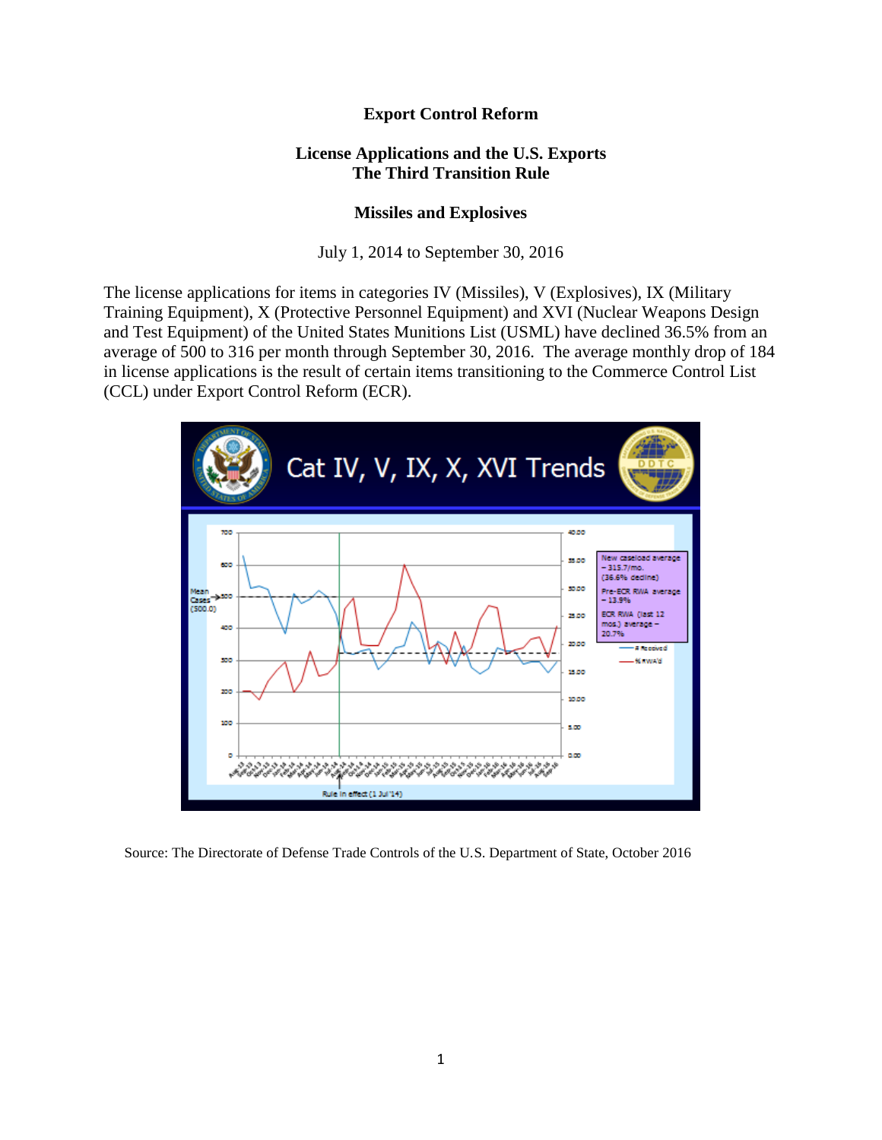## **Export Control Reform**

## **License Applications and the U.S. Exports The Third Transition Rule**

## **Missiles and Explosives**

July 1, 2014 to September 30, 2016

The license applications for items in categories IV (Missiles), V (Explosives), IX (Military Training Equipment), X (Protective Personnel Equipment) and XVI (Nuclear Weapons Design and Test Equipment) of the United States Munitions List (USML) have declined 36.5% from an average of 500 to 316 per month through September 30, 2016. The average monthly drop of 184 in license applications is the result of certain items transitioning to the Commerce Control List (CCL) under Export Control Reform (ECR).



Source: The Directorate of Defense Trade Controls of the U.S. Department of State, October 2016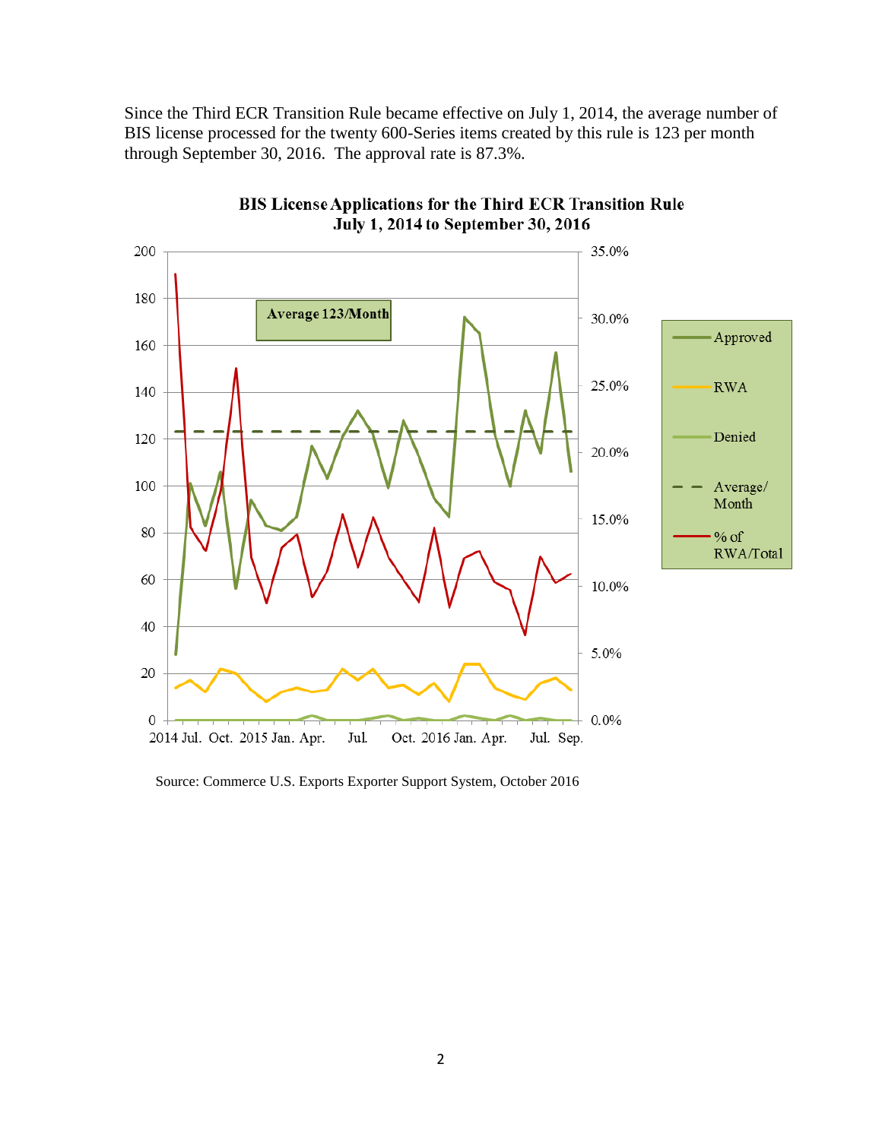Since the Third ECR Transition Rule became effective on July 1, 2014, the average number of BIS license processed for the twenty 600-Series items created by this rule is 123 per month through September 30, 2016. The approval rate is 87.3%.



BIS License Applications for the Third ECR Transition Rule July 1, 2014 to September 30, 2016

Source: Commerce U.S. Exports Exporter Support System, October 2016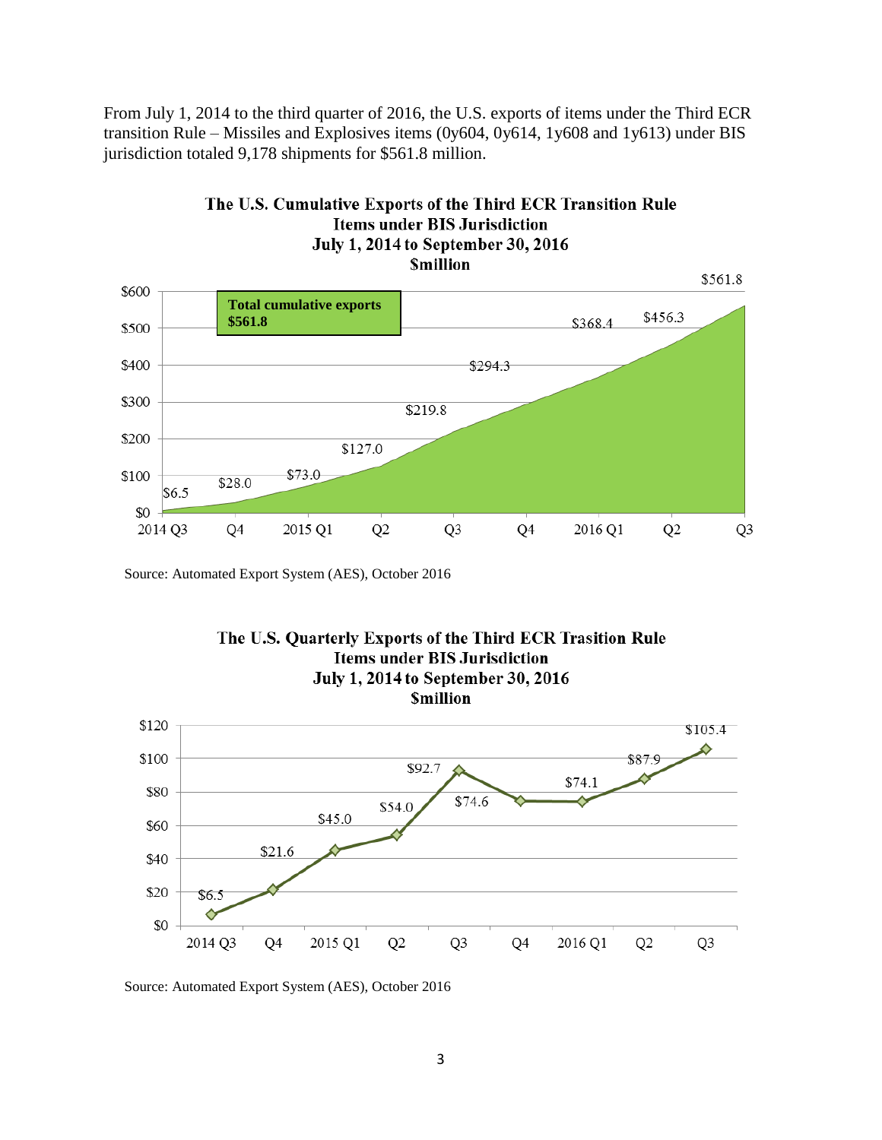From July 1, 2014 to the third quarter of 2016, the U.S. exports of items under the Third ECR transition Rule – Missiles and Explosives items (0y604, 0y614, 1y608 and 1y613) under BIS jurisdiction totaled 9,178 shipments for \$561.8 million.



Source: Automated Export System (AES), October 2016



Source: Automated Export System (AES), October 2016